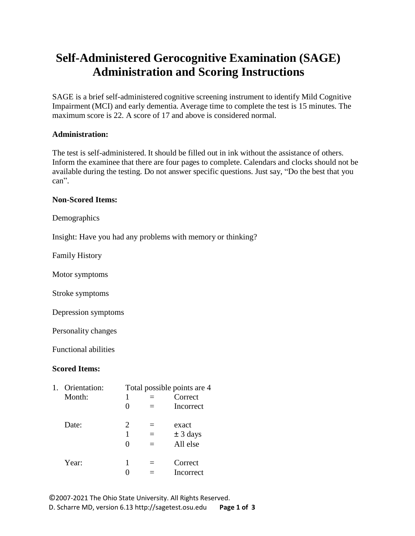## **Self-Administered Gerocognitive Examination (SAGE) Administration and Scoring Instructions**

SAGE is a brief self-administered cognitive screening instrument to identify Mild Cognitive Impairment (MCI) and early dementia. Average time to complete the test is 15 minutes. The maximum score is 22. A score of 17 and above is considered normal.

## **Administration:**

The test is self-administered. It should be filled out in ink without the assistance of others. Inform the examinee that there are four pages to complete. Calendars and clocks should not be available during the testing. Do not answer specific questions. Just say, "Do the best that you can".

## **Non-Scored Items:**

Demographics

Insight: Have you had any problems with memory or thinking?

Family History

Motor symptoms

Stroke symptoms

Depression symptoms

Personality changes

Functional abilities

## **Scored Items:**

| 1. | Orientation: |                   | Total possible points are 4 |
|----|--------------|-------------------|-----------------------------|
|    | Month:       | 1                 | Correct                     |
|    |              | $\mathbf{\Omega}$ | Incorrect                   |
|    | Date:        | 2                 | exact                       |
|    |              |                   | $\pm$ 3 days                |
|    |              | $\mathbf{\Omega}$ | All else                    |
|    | Year:        | 1                 | Correct                     |
|    |              |                   | Incorrect                   |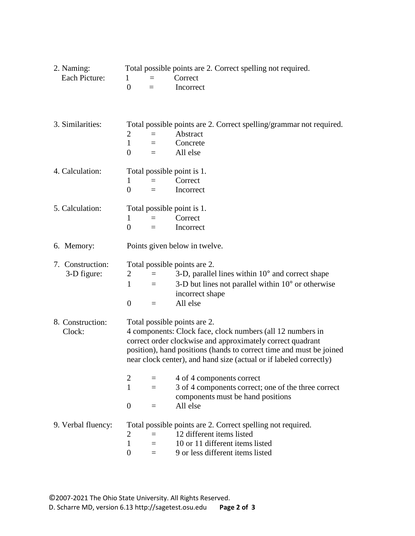| 2. Naming:<br>Each Picture:     | Total possible points are 2. Correct spelling not required.<br>Correct<br>1<br>$\theta$<br>Incorrect                                                                                                                                                                                                  |  |  |  |
|---------------------------------|-------------------------------------------------------------------------------------------------------------------------------------------------------------------------------------------------------------------------------------------------------------------------------------------------------|--|--|--|
| 3. Similarities:                | Total possible points are 2. Correct spelling/grammar not required.<br>2<br>Abstract<br>$\mathbf{1}$<br>Concrete<br>$=$<br>$\overline{0}$<br>All else<br>$=$                                                                                                                                          |  |  |  |
| 4. Calculation:                 | Total possible point is 1.<br>Correct<br>1<br>$=$<br>$\boldsymbol{0}$<br>Incorrect<br>$=$                                                                                                                                                                                                             |  |  |  |
| 5. Calculation:                 | Total possible point is 1.<br>Correct<br>1<br>$=$<br>$\overline{0}$<br>Incorrect<br>$=$                                                                                                                                                                                                               |  |  |  |
| 6. Memory:                      | Points given below in twelve.                                                                                                                                                                                                                                                                         |  |  |  |
| 7. Construction:<br>3-D figure: | Total possible points are 2.<br>3-D, parallel lines within $10^{\circ}$ and correct shape<br>2<br>$=$<br>3-D but lines not parallel within $10^{\circ}$ or otherwise<br>1<br>$=$<br>incorrect shape<br>All else<br>$\mathbf{0}$<br>$=$                                                                |  |  |  |
| 8. Construction:<br>Clock:      | Total possible points are 2.<br>4 components: Clock face, clock numbers (all 12 numbers in<br>correct order clockwise and approximately correct quadrant<br>position), hand positions (hands to correct time and must be joined<br>near clock center), and hand size (actual or if labeled correctly) |  |  |  |
|                                 | 4 of 4 components correct<br>$\overline{2}$<br>3 of 4 components correct; one of the three correct<br>$\mathbf{1}$<br>$=$<br>components must be hand positions<br>$\overline{0}$<br>All else                                                                                                          |  |  |  |
| 9. Verbal fluency:              | Total possible points are 2. Correct spelling not required.<br>12 different items listed<br>$\overline{2}$<br>$\mathbf{1}$<br>10 or 11 different items listed<br>$=$<br>9 or less different items listed<br>$\theta$<br>$=$                                                                           |  |  |  |